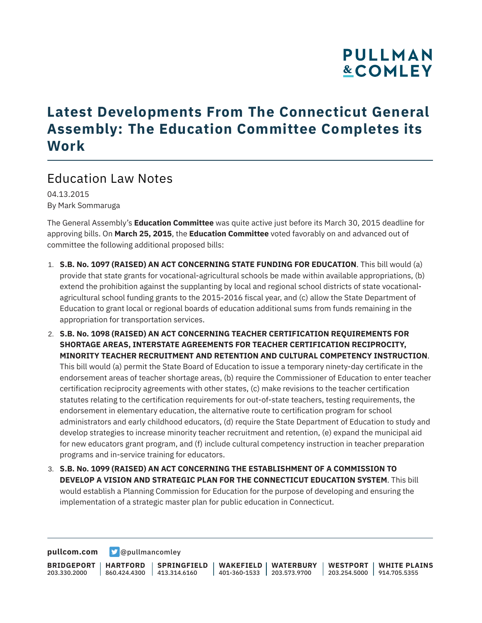### **Latest Developments From The Connecticut General Assembly: The Education Committee Completes its Work**

### Education Law Notes

04.13.2015 By Mark Sommaruga

The General Assembly's **Education Committee** was quite active just before its March 30, 2015 deadline for approving bills. On **March 25, 2015**, the **Education Committee** voted favorably on and advanced out of committee the following additional proposed bills:

- 1. **S.B. No. 1097 (RAISED) AN ACT CONCERNING STATE FUNDING FOR EDUCATION**. This bill would (a) provide that state grants for vocational-agricultural schools be made within available appropriations, (b) extend the prohibition against the supplanting by local and regional school districts of state vocationalagricultural school funding grants to the 2015-2016 fiscal year, and (c) allow the State Department of Education to grant local or regional boards of education additional sums from funds remaining in the appropriation for transportation services.
- 2. **S.B. No. 1098 (RAISED) AN ACT CONCERNING TEACHER CERTIFICATION REQUIREMENTS FOR SHORTAGE AREAS, INTERSTATE AGREEMENTS FOR TEACHER CERTIFICATION RECIPROCITY, MINORITY TEACHER RECRUITMENT AND RETENTION AND CULTURAL COMPETENCY INSTRUCTION**. This bill would (a) permit the State Board of Education to issue a temporary ninety-day certificate in the endorsement areas of teacher shortage areas, (b) require the Commissioner of Education to enter teacher certification reciprocity agreements with other states, (c) make revisions to the teacher certification statutes relating to the certification requirements for out-of-state teachers, testing requirements, the endorsement in elementary education, the alternative route to certification program for school administrators and early childhood educators, (d) require the State Department of Education to study and develop strategies to increase minority teacher recruitment and retention, (e) expand the municipal aid for new educators grant program, and (f) include cultural competency instruction in teacher preparation programs and in-service training for educators.
- 3. **S.B. No. 1099 (RAISED) AN ACT CONCERNING THE ESTABLISHMENT OF A COMMISSION TO DEVELOP A VISION AND STRATEGIC PLAN FOR THE CONNECTICUT EDUCATION SYSTEM**. This bill would establish a Planning Commission for Education for the purpose of developing and ensuring the implementation of a strategic master plan for public education in Connecticut.

**[pullcom.com](https://www.pullcom.com) g** [@pullmancomley](https://twitter.com/PullmanComley)

**BRIDGEPORT** 203.330.2000 **HARTFORD** 860.424.4300 413.314.6160 **SPRINGFIELD WAKEFIELD WATERBURY** 401-360-1533 203.573.9700 **WESTPORT WHITE PLAINS** 203.254.5000 914.705.5355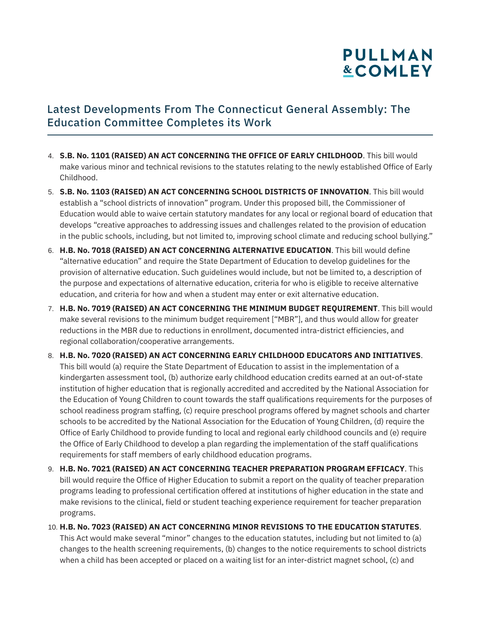#### Latest Developments From The Connecticut General Assembly: The Education Committee Completes its Work

- 4. **S.B. No. 1101 (RAISED) AN ACT CONCERNING THE OFFICE OF EARLY CHILDHOOD**. This bill would make various minor and technical revisions to the statutes relating to the newly established Office of Early Childhood.
- 5. **S.B. No. 1103 (RAISED) AN ACT CONCERNING SCHOOL DISTRICTS OF INNOVATION**. This bill would establish a "school districts of innovation" program. Under this proposed bill, the Commissioner of Education would able to waive certain statutory mandates for any local or regional board of education that develops "creative approaches to addressing issues and challenges related to the provision of education in the public schools, including, but not limited to, improving school climate and reducing school bullying."
- 6. **H.B. No. 7018 (RAISED) AN ACT CONCERNING ALTERNATIVE EDUCATION**. This bill would define "alternative education" and require the State Department of Education to develop guidelines for the provision of alternative education. Such guidelines would include, but not be limited to, a description of the purpose and expectations of alternative education, criteria for who is eligible to receive alternative education, and criteria for how and when a student may enter or exit alternative education.
- 7. **H.B. No. 7019 (RAISED) AN ACT CONCERNING THE MINIMUM BUDGET REQUIREMENT**. This bill would make several revisions to the minimum budget requirement ["MBR"], and thus would allow for greater reductions in the MBR due to reductions in enrollment, documented intra-district efficiencies, and regional collaboration/cooperative arrangements.
- 8. **H.B. No. 7020 (RAISED) AN ACT CONCERNING EARLY CHILDHOOD EDUCATORS AND INITIATIVES**. This bill would (a) require the State Department of Education to assist in the implementation of a kindergarten assessment tool, (b) authorize early childhood education credits earned at an out-of-state institution of higher education that is regionally accredited and accredited by the National Association for the Education of Young Children to count towards the staff qualifications requirements for the purposes of school readiness program staffing, (c) require preschool programs offered by magnet schools and charter schools to be accredited by the National Association for the Education of Young Children, (d) require the Office of Early Childhood to provide funding to local and regional early childhood councils and (e) require the Office of Early Childhood to develop a plan regarding the implementation of the staff qualifications requirements for staff members of early childhood education programs.
- 9. **H.B. No. 7021 (RAISED) AN ACT CONCERNING TEACHER PREPARATION PROGRAM EFFICACY**. This bill would require the Office of Higher Education to submit a report on the quality of teacher preparation programs leading to professional certification offered at institutions of higher education in the state and make revisions to the clinical, field or student teaching experience requirement for teacher preparation programs.

#### 10. **H.B. No. 7023 (RAISED) AN ACT CONCERNING MINOR REVISIONS TO THE EDUCATION STATUTES**.

This Act would make several "minor" changes to the education statutes, including but not limited to (a) changes to the health screening requirements, (b) changes to the notice requirements to school districts when a child has been accepted or placed on a waiting list for an inter-district magnet school, (c) and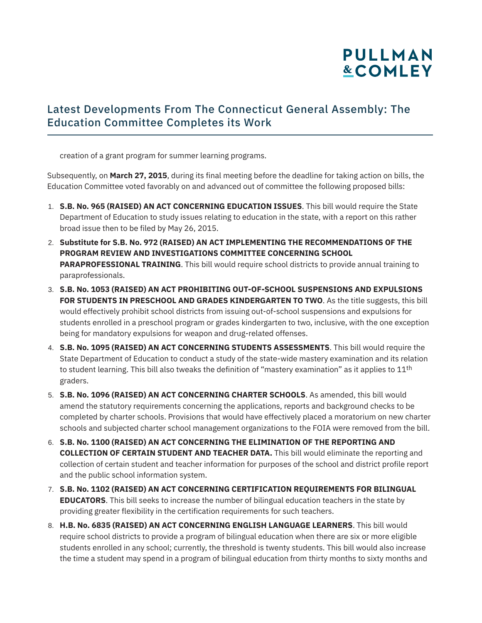#### Latest Developments From The Connecticut General Assembly: The Education Committee Completes its Work

creation of a grant program for summer learning programs.

Subsequently, on **March 27, 2015**, during its final meeting before the deadline for taking action on bills, the Education Committee voted favorably on and advanced out of committee the following proposed bills:

- 1. **S.B. No. 965 (RAISED) AN ACT CONCERNING EDUCATION ISSUES**. This bill would require the State Department of Education to study issues relating to education in the state, with a report on this rather broad issue then to be filed by May 26, 2015.
- 2. **Substitute for S.B. No. 972 (RAISED) AN ACT IMPLEMENTING THE RECOMMENDATIONS OF THE PROGRAM REVIEW AND INVESTIGATIONS COMMITTEE CONCERNING SCHOOL PARAPROFESSIONAL TRAINING**. This bill would require school districts to provide annual training to paraprofessionals.
- 3. **S.B. No. 1053 (RAISED) AN ACT PROHIBITING OUT-OF-SCHOOL SUSPENSIONS AND EXPULSIONS FOR STUDENTS IN PRESCHOOL AND GRADES KINDERGARTEN TO TWO**. As the title suggests, this bill would effectively prohibit school districts from issuing out-of-school suspensions and expulsions for students enrolled in a preschool program or grades kindergarten to two, inclusive, with the one exception being for mandatory expulsions for weapon and drug-related offenses.
- 4. **S.B. No. 1095 (RAISED) AN ACT CONCERNING STUDENTS ASSESSMENTS**. This bill would require the State Department of Education to conduct a study of the state-wide mastery examination and its relation to student learning. This bill also tweaks the definition of "mastery examination" as it applies to 11<sup>th</sup> graders.
- 5. **S.B. No. 1096 (RAISED) AN ACT CONCERNING CHARTER SCHOOLS**. As amended, this bill would amend the statutory requirements concerning the applications, reports and background checks to be completed by charter schools. Provisions that would have effectively placed a moratorium on new charter schools and subjected charter school management organizations to the FOIA were removed from the bill.
- 6. **S.B. No. 1100 (RAISED) AN ACT CONCERNING THE ELIMINATION OF THE REPORTING AND COLLECTION OF CERTAIN STUDENT AND TEACHER DATA.** This bill would eliminate the reporting and collection of certain student and teacher information for purposes of the school and district profile report and the public school information system.
- 7. **S.B. No. 1102 (RAISED) AN ACT CONCERNING CERTIFICATION REQUIREMENTS FOR BILINGUAL EDUCATORS**. This bill seeks to increase the number of bilingual education teachers in the state by providing greater flexibility in the certification requirements for such teachers.
- 8. **H.B. No. 6835 (RAISED) AN ACT CONCERNING ENGLISH LANGUAGE LEARNERS**. This bill would require school districts to provide a program of bilingual education when there are six or more eligible students enrolled in any school; currently, the threshold is twenty students. This bill would also increase the time a student may spend in a program of bilingual education from thirty months to sixty months and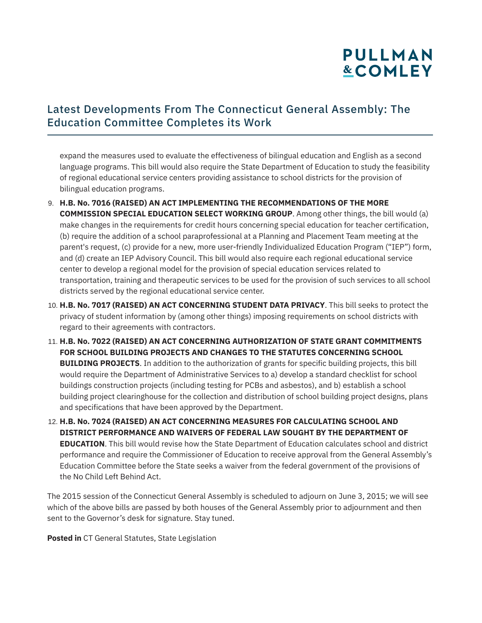#### Latest Developments From The Connecticut General Assembly: The Education Committee Completes its Work

expand the measures used to evaluate the effectiveness of bilingual education and English as a second language programs. This bill would also require the State Department of Education to study the feasibility of regional educational service centers providing assistance to school districts for the provision of bilingual education programs.

- 9. **H.B. No. 7016 (RAISED) AN ACT IMPLEMENTING THE RECOMMENDATIONS OF THE MORE COMMISSION SPECIAL EDUCATION SELECT WORKING GROUP**. Among other things, the bill would (a) make changes in the requirements for credit hours concerning special education for teacher certification, (b) require the addition of a school paraprofessional at a Planning and Placement Team meeting at the parent's request, (c) provide for a new, more user-friendly Individualized Education Program ("IEP") form, and (d) create an IEP Advisory Council. This bill would also require each regional educational service center to develop a regional model for the provision of special education services related to transportation, training and therapeutic services to be used for the provision of such services to all school districts served by the regional educational service center.
- 10. **H.B. No. 7017 (RAISED) AN ACT CONCERNING STUDENT DATA PRIVACY**. This bill seeks to protect the privacy of student information by (among other things) imposing requirements on school districts with regard to their agreements with contractors.
- 11. **H.B. No. 7022 (RAISED) AN ACT CONCERNING AUTHORIZATION OF STATE GRANT COMMITMENTS FOR SCHOOL BUILDING PROJECTS AND CHANGES TO THE STATUTES CONCERNING SCHOOL BUILDING PROJECTS**. In addition to the authorization of grants for specific building projects, this bill would require the Department of Administrative Services to a) develop a standard checklist for school buildings construction projects (including testing for PCBs and asbestos), and b) establish a school building project clearinghouse for the collection and distribution of school building project designs, plans and specifications that have been approved by the Department.
- 12. **H.B. No. 7024 (RAISED) AN ACT CONCERNING MEASURES FOR CALCULATING SCHOOL AND DISTRICT PERFORMANCE AND WAIVERS OF FEDERAL LAW SOUGHT BY THE DEPARTMENT OF EDUCATION**. This bill would revise how the State Department of Education calculates school and district performance and require the Commissioner of Education to receive approval from the General Assembly's Education Committee before the State seeks a waiver from the federal government of the provisions of the No Child Left Behind Act.

The 2015 session of the Connecticut General Assembly is scheduled to adjourn on June 3, 2015; we will see which of the above bills are passed by both houses of the General Assembly prior to adjournment and then sent to the Governor's desk for signature. Stay tuned.

**Posted in** CT General Statutes, State Legislation